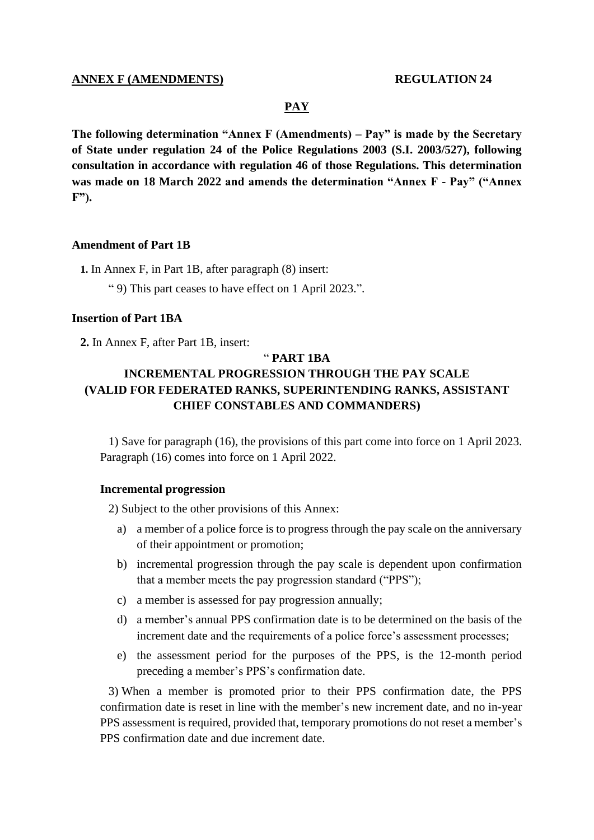# **ANNEX F (AMENDMENTS) REGULATION 24**

#### **PAY**

**The following determination "Annex F (Amendments) – Pay" is made by the Secretary of State under regulation 24 of the Police Regulations 2003 (S.I. 2003/527), following consultation in accordance with regulation 46 of those Regulations. This determination was made on 18 March 2022 and amends the determination "Annex F - Pay" ("Annex F").**

# **Amendment of Part 1B**

**1.** In Annex F, in Part 1B, after paragraph (8) insert:

" 9) This part ceases to have effect on 1 April 2023.".

# **Insertion of Part 1BA**

**2.** In Annex F, after Part 1B, insert:

### " **PART 1BA**

# **INCREMENTAL PROGRESSION THROUGH THE PAY SCALE (VALID FOR FEDERATED RANKS, SUPERINTENDING RANKS, ASSISTANT CHIEF CONSTABLES AND COMMANDERS)**

1) Save for paragraph (16), the provisions of this part come into force on 1 April 2023. Paragraph (16) comes into force on 1 April 2022.

### **Incremental progression**

2) Subject to the other provisions of this Annex:

- a) a member of a police force is to progress through the pay scale on the anniversary of their appointment or promotion;
- b) incremental progression through the pay scale is dependent upon confirmation that a member meets the pay progression standard ("PPS");
- c) a member is assessed for pay progression annually;
- d) a member's annual PPS confirmation date is to be determined on the basis of the increment date and the requirements of a police force's assessment processes;
- e) the assessment period for the purposes of the PPS, is the 12-month period preceding a member's PPS's confirmation date.

3) When a member is promoted prior to their PPS confirmation date, the PPS confirmation date is reset in line with the member's new increment date, and no in-year PPS assessment is required, provided that, temporary promotions do not reset a member's PPS confirmation date and due increment date.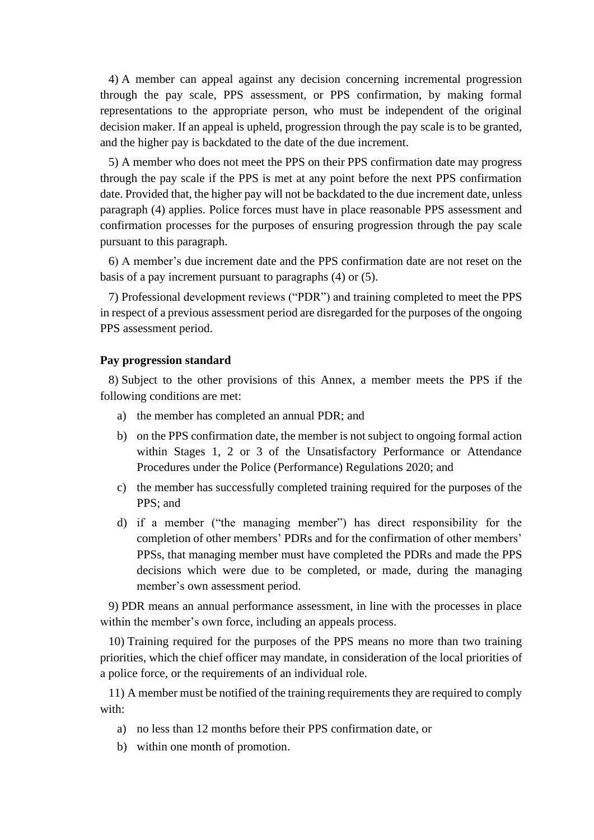4) A member can appeal against any decision concerning incremental progression through the pay scale, PPS assessment, or PPS confirmation, by making formal representations to the appropriate person, who must be independent of the original decision maker. If an appeal is upheld, progression through the pay scale is to be granted, and the higher pay is backdated to the date of the due increment.

5) A member who does not meet the PPS on their PPS confirmation date may progress through the pay scale if the PPS is met at any point before the next PPS confirmation date. Provided that, the higher pay will not be backdated to the due increment date, unless paragraph (4) applies. Police forces must have in place reasonable PPS assessment and confirmation processes for the purposes of ensuring progression through the pay scale pursuant to this paragraph.

6) A member's due increment date and the PPS confirmation date are not reset on the basis of a pay increment pursuant to paragraphs (4) or (5).

7) Professional development reviews ("PDR") and training completed to meet the PPS in respect of a previous assessment period are disregarded for the purposes of the ongoing PPS assessment period.

#### **Pay progression standard**

8) Subject to the other provisions of this Annex, a member meets the PPS if the following conditions are met:

- a) the member has completed an annual PDR; and
- b) on the PPS confirmation date, the member is not subject to ongoing formal action within Stages 1, 2 or 3 of the Unsatisfactory Performance or Attendance Procedures under the Police (Performance) Regulations 2020; and
- c) the member has successfully completed training required for the purposes of the PPS; and
- d) if a member ("the managing member") has direct responsibility for the completion of other members' PDRs and for the confirmation of other members' PPSs, that managing member must have completed the PDRs and made the PPS decisions which were due to be completed, or made, during the managing member's own assessment period.

9) PDR means an annual performance assessment, in line with the processes in place within the member's own force, including an appeals process.

10) Training required for the purposes of the PPS means no more than two training priorities, which the chief officer may mandate, in consideration of the local priorities of a police force, or the requirements of an individual role.

11) A member must be notified of the training requirements they are required to comply with:

- a) no less than 12 months before their PPS confirmation date, or
- b) within one month of promotion.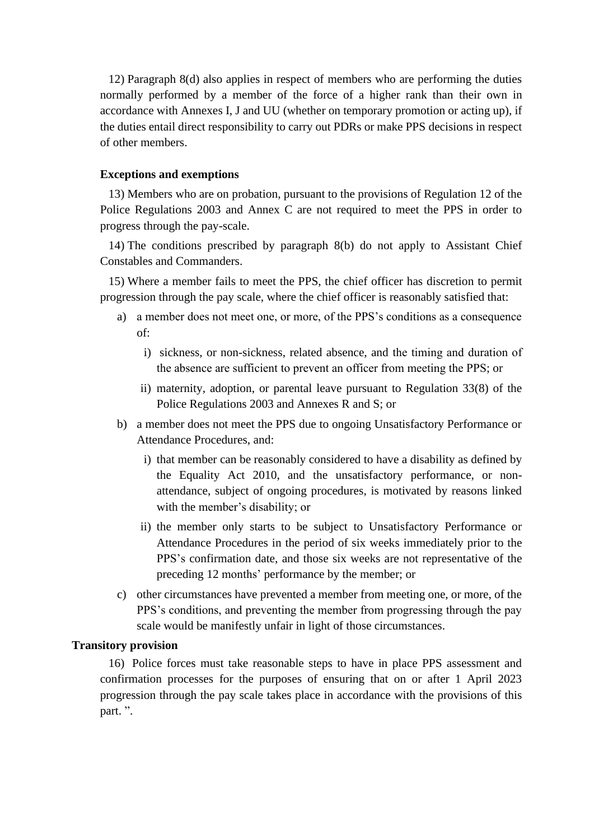12) Paragraph 8(d) also applies in respect of members who are performing the duties normally performed by a member of the force of a higher rank than their own in accordance with Annexes I, J and UU (whether on temporary promotion or acting up), if the duties entail direct responsibility to carry out PDRs or make PPS decisions in respect of other members.

# **Exceptions and exemptions**

13) Members who are on probation, pursuant to the provisions of Regulation 12 of the Police Regulations 2003 and Annex C are not required to meet the PPS in order to progress through the pay-scale.

14) The conditions prescribed by paragraph 8(b) do not apply to Assistant Chief Constables and Commanders.

15) Where a member fails to meet the PPS, the chief officer has discretion to permit progression through the pay scale, where the chief officer is reasonably satisfied that:

- a) a member does not meet one, or more, of the PPS's conditions as a consequence of:
	- i) sickness, or non-sickness, related absence, and the timing and duration of the absence are sufficient to prevent an officer from meeting the PPS; or
	- ii) maternity, adoption, or parental leave pursuant to Regulation 33(8) of the Police Regulations 2003 and Annexes R and S; or
- b) a member does not meet the PPS due to ongoing Unsatisfactory Performance or Attendance Procedures, and:
	- i) that member can be reasonably considered to have a disability as defined by the Equality Act 2010, and the unsatisfactory performance, or nonattendance, subject of ongoing procedures, is motivated by reasons linked with the member's disability; or
	- ii) the member only starts to be subject to Unsatisfactory Performance or Attendance Procedures in the period of six weeks immediately prior to the PPS's confirmation date, and those six weeks are not representative of the preceding 12 months' performance by the member; or
- c) other circumstances have prevented a member from meeting one, or more, of the PPS's conditions, and preventing the member from progressing through the pay scale would be manifestly unfair in light of those circumstances.

# **Transitory provision**

16) Police forces must take reasonable steps to have in place PPS assessment and confirmation processes for the purposes of ensuring that on or after 1 April 2023 progression through the pay scale takes place in accordance with the provisions of this part. ".